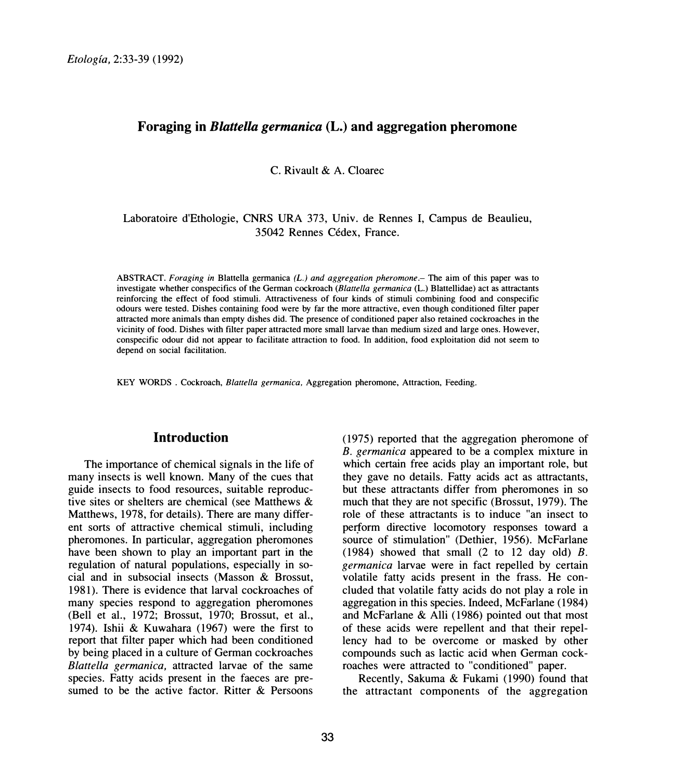## **Foraging in** *Blattella germanica* **(L.) and aggregation pheromone**

C. Rivault & A. Cloarec

## Laboratoire d'Ethologie, CNRS URA 373, Univ. de Rennes I, Campus de Beaulieu, 35042 Rennes Cedex, France.

ABSTRACT. *Foraging in Blattella germanica (L.) and aggregation pheromone.*— The aim of this paper was to investigate whether conspecifics of the German cockroach *(Blattella germanica* (L.) Blattellidae) act as attractants reinforcing the effect of food stimuli. Attractiveness of four kinds of stimuli combining food and conspecific odours were tested. Dishes containing food were by far the more attractive, even though conditioned filter paper attracted more animals than empty dishes did. The presence of conditioned paper also retained cockroaches in the vicinity of food. Dishes **with** filter paper attracted more small larvae than medium sized and large ones. However, conspecific odour did not appear to facilitate attraction to food. In addition, food exploitation did not seem to depend on social facilitation.

KEY **WORDS** . Cockroach, *Blattel/a germanica,* Aggregation pheromone, Attraction, Feeding.

# **Introduction**

The importance of chemical signals in the life of many insects is well known. Many of the cues that guide insects to food resources, suitable reproductive sites or shelters are chemical (see Matthews & Matthews, 1978, for details). There are many different sorts of attractive chemical stimuli, including pheromones. In particular, aggregation pheromones have been shown to play an important part in the regulation of natural populations, especially in social and in subsocial insects (Masson & Brossut, 1981). There is evidence that larval cockroaches of many species respond to aggregation pheromones (Bell et al., 1972; Brossut, 1970; Brossut, et al., 1974). Ishii & Kuwahara (1967) were the first to report that filter paper which had been conditioned by being placed in a culture of German cockroaches *Blattel/a germanica,* attracted larvae of the same species. Fatty acids present in the faeces are presumed to be the active factor. Ritter & Persoons

(1975) reported that the aggregation pheromone of *B. germanica* appeared to be a complex mixture in which certain free acids play an important role, but they gave no details. Fatty acids act as attractants, but these attractants differ from pheromones in so much that they are not specific (Brossut, 1979). The role of these attractants is to induce "an insect to petform directive locomotory responses toward a source of stimulation" (Dethier, 1956). McFarlane (1984) showed that small (2 to 12 day old) *B. germanica* larvae were in fact repelled by certain volatile fatty acids present in the frass. He concluded that volatile fatty acids do not play a role in aggregation in this species. Indeed, McFarlane (1984) and McFarlane & Alli ( 1986) pointed out that most of these acids were repellent and that their repellency had to be overcome or masked by other compounds such as lactic acid when German cockroaches were attracted to "conditioned" paper.

Recently, Sakuma & Fukami (1990) found that the attractant components of the aggregation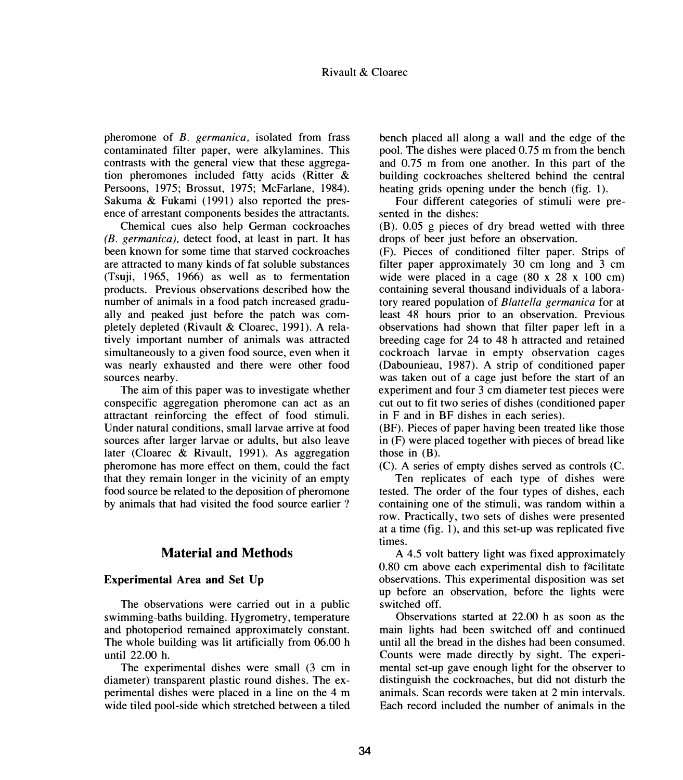pheromone of *B. germanica,* isolated from frass contaminated filter paper, were alkylamines. This contrasts with the general view that these aggregation pheromones included fatty acids (Ritter & Persoons, 1975; Brossut, 1975; McFarlane, 1984). Sakuma & Fukami (1991) also reported the presence of arrestant components besides the attractants.

Chemical cues also help German cockroaches *(B. germanica),* detect food, at least in part. It has been known for some time that starved cockroaches are attracted to many kinds of fat soluble substances (Tsuji, 1965, 1966) as well as to fermentation products. Previous observations described how the number of animals in a food patch increased gradually and peaked just before the patch was completely depleted (Rivault & Cloarec, 1991). A relatively important number of animals was attracted simultaneously to a given food source, even when it was nearly exhausted and there were other food sources nearby.

The aim of this paper was to investigate whether conspecific aggregation pheromone can act as an attractant reinforcing the effect of food stimuli. Under natural conditions, small larvae arrive at food sources after larger larvae or adults, but also leave later (Cloarec & Rivault, 1991). As aggregation pheromone has more effect on them, could the fact that they remain longer in the vicinity of an empty food source be related to the deposition of pheromone by animals that had visited the food source earlier ?

# **Material and Methods**

#### **Experimental Area and Set Up**

The observations were carried out in a public swimming-baths building. Hygrometry, temperature and photoperiod remained approximately constant. The whole building was lit artificially from 06.00 h until 22.00 h.

The experimental dishes were small (3 cm in diameter) transparent plastic round dishes. The experimental dishes were placed in a line on the 4 m wide tiled pool-side which stretched between a tiled

bench placed all along a wall and the edge of the pool. The dishes were placed 0.75 m from the bench and 0.75 m from one another. In this part of the building cockroaches sheltered behind the central heating grids opening under the bench (fig. 1).

Four different categories of stimuli were presented in the dishes:

(B). 0.05 g pieces of dry bread wetted with three drops of beer just before an observation.

(F). Pieces of conditioned filter paper. Strips of filter paper approximately 30 cm long and 3 cm wide were placed in a cage (80 x 28 x 100 cm) containing several thousand individuals of a laboratory reared population of *Blattella germanica* for at least 48 hours prior to an observation. Previous observations had shown that filter paper left in a breeding cage for 24 to 48 h attracted and retained cockroach larvae in empty observation cages (Dabounieau, 1987). A strip of conditioned paper was taken out of a cage just before the start of an experiment and four 3 cm diameter test pieces were cut out to fit two series of dishes ( conditioned paper in F and in BF dishes in each series).

(BF). Pieces of paper having been treated like those in (F) were placed together with pieces of bread like those in  $(B)$ .

(C). A series of empty dishes served as controls (C.

Ten replicates of each type of dishes were tested. The order of the four types of dishes, each containing one of the stimuli, was random within a row. Practically, two sets of dishes were presented at a time (fig. 1), and this set-up was replicated five times.

A 4.5 volt battery light was fixed approximately 0.80 cm above each experimental dish to facilitate observations. This experimental disposition was set up before an observation, before the lights were switched off.

Observations started at 22.00 h as soon as the main lights had been switched off and continued until all the bread in the dishes had been consumed. Counts were made directly by sight. The experimental set-up gave enough light for the observer to distinguish the cockroaches, but did not disturb the animals. Scan records were taken at 2 min intervals. Each record included the number of animals in the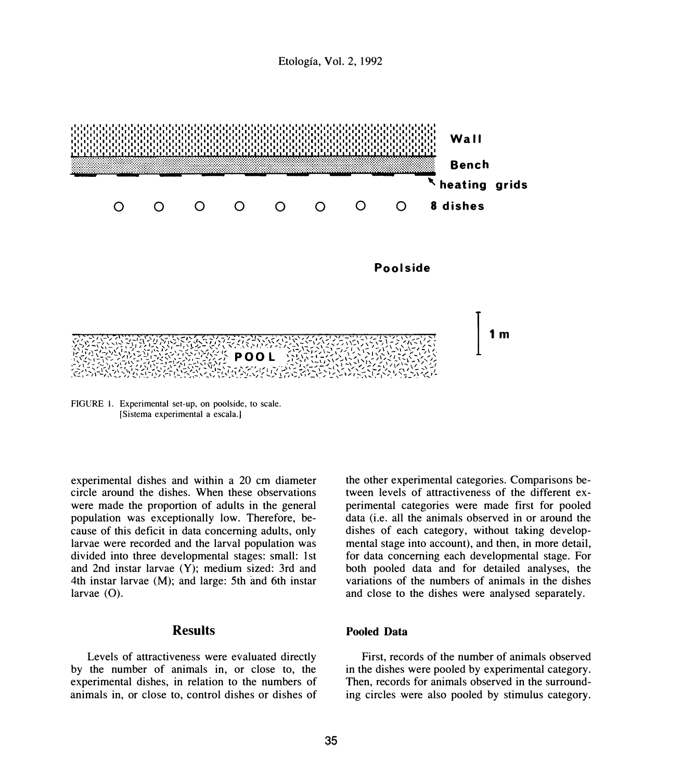

FIGURE I. Experimental set-up, on poolside, to scale. [Sistema experimental a escala.]

experimental dishes and within a 20 cm diameter circle around the dishes. When these observations were made the proportion of adults in the general population was exceptionally low. Therefore, because of this deficit in data concerning adults, only larvae were recorded and the larval population was divided into three developmental stages: small: 1st and 2nd instar larvae (Y); medium sized: 3rd and 4th instar larvae (M); and large: 5th and 6th instar larvae (O).

# **Results**

Levels of attractiveness were evaluated directly by the number of animals in, or close to, the experimental dishes, in relation to the numbers of animals in, or close to, control dishes or dishes of the other experimental categories. Comparisons between levels of attractiveness of the different experimental categories were made first for pooled data (i.e. all the animals observed in or around the dishes of each category, without taking developmental stage into account), and then, in more detail, for data concerning each developmental stage. For both pooled data and for detailed analyses, the variations of the numbers of animals in the dishes and close to the dishes were analysed separately.

#### **Pooled Data**

First, records of the number of animals observed in the dishes were pooled by experimental category. Then, records for animals observed in the surrounding circles were also pooled by stimulus category.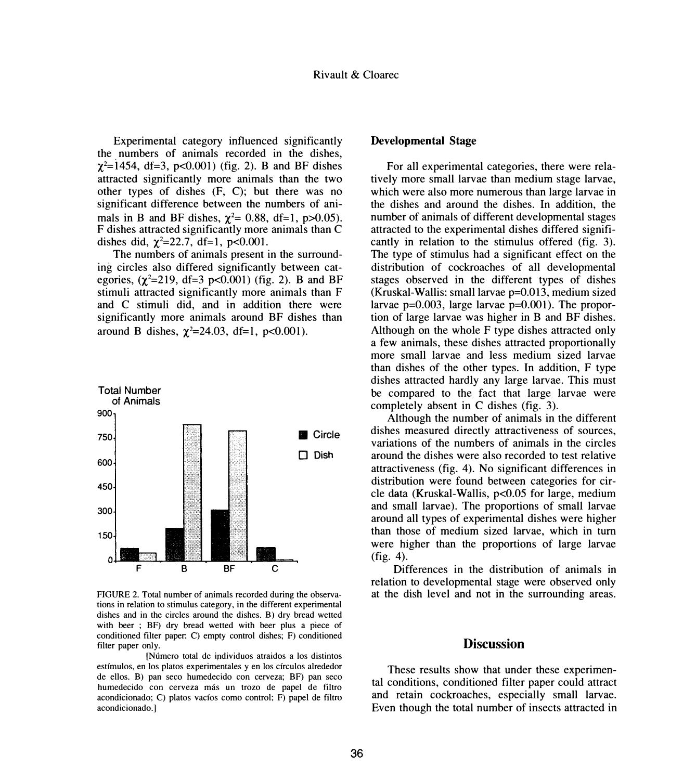Experimental category influenced significantly the numbers of animals recorded in the dishes,  $\chi^2$ =1454, df=3, p<0.001) (fig. 2). B and BF dishes attracted significantly more animals than the two other types of dishes (F, C); but there was no significant difference between the numbers of animals in B and BF dishes,  $\chi^2$  = 0.88, df=1, p>0.05). F dishes attracted significantly more animals than C dishes did,  $\chi^2 = 22.7$ , df=1, p<0.001.

The numbers of animals present in the surrounding circles also differed significantly between categories,  $(\chi^2=219, df=3 p<0.001)$  (fig. 2). B and BF stimuli attracted significantly more animals than F and C stimuli did, and in addition there were significantly more animals around BF dishes than around B dishes,  $\chi^2 = 24.03$ , df=1, p<0.001).



FIGURE 2. Total number of animals recorded during the observations in relation to stimulus category, in the different experimental dishes and in the circles around the dishes. B) dry bread wetted with beer ; BF) dry bread wetted with beer plus a piece of conditioned filter paper; C) empty control dishes; F) conditioned filter paper only.

[Numero total de individuos atraidos a los distintos estfrnulos, en los platos experimentales y en los circulos alrededor de ellos. B) pan seco humedecido con cerveza; BF) pan seco humedecido con cerveza más un trozo de papel de filtro acondicionado; C) platos vacíos como control; F) papel de filtro acondicionado.J

#### **Developmental Stage**

For all experimental categories, there were relatively more small larvae than medium stage larvae, which were also more numerous than large larvae in the dishes and around the dishes. In addition, the number of animals of different developmental stages attracted to the experimental dishes differed significantly in relation to the stimulus offered (fig. 3). The type of stimulus had a significant effect on the distribution of cockroaches of all developmental stages observed in the different types of dishes (Kruskal-Wallis: small larvae p=0.013, medium sized larvae  $p=0.003$ , large larvae  $p=0.001$ ). The proportion of large larvae was higher in B and BF dishes. Although on the whole F type dishes attracted only a few animals, these dishes attracted proportionally more small larvae and less medium sized larvae than dishes of the other types. In addition, F type dishes attracted hardly any large larvae. This must be compared to the fact that large larvae were completely absent in C dishes (fig. 3).

Although the number of animals in the different dishes measured directly attractiveness of sources, variations of the numbers of animals in the circles around the dishes were also recorded to test relative attractiveness (fig. 4). No significant differences in distribution were found between categories for circle data (Kruskal-Wallis, p<0.05 for large, medium and small larvae). The proportions of small larvae around all types of experimental dishes were higher than those of medium sized larvae, which in tum were higher than the proportions of large larvae (fig. 4).

Differences in the distribution of animals in relation to developmental stage were observed only at the dish level and not in the surrounding areas.

#### **Discussion**

These results show that under these experimental conditions, conditioned filter paper could attract and retain cockroaches, especially small larvae. Even though the total number of insects attracted in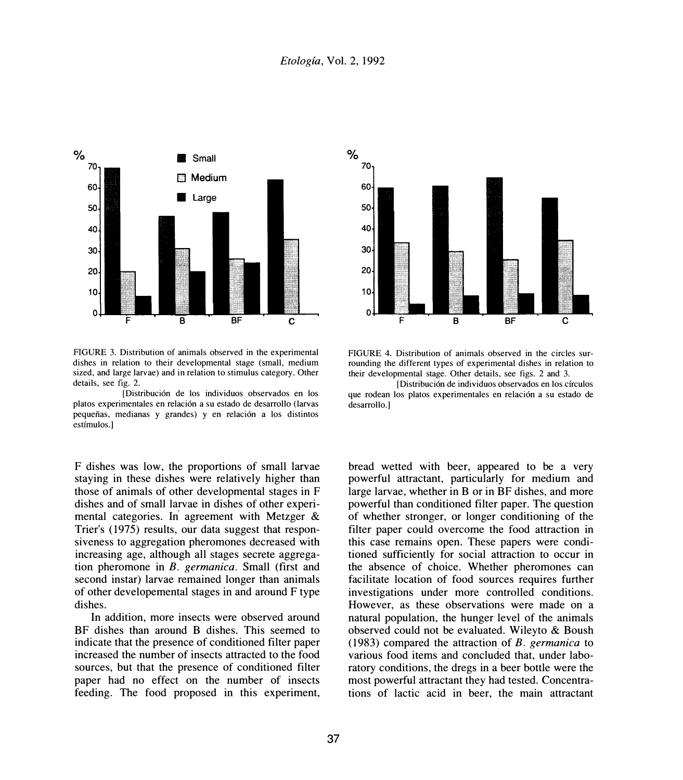

FIGURE 3. Distribution of animals observed in the experimental dishes in relation to their developmental stage (small, medium sized, and large larvae) and in relation to stimulus category. Other details, see fig. 2.

[Distribuci6n de los individuos observados en los platos experimentales en relaci6n a su estado de desarrollo (larvas pequeñas, medianas y grandes) y en relación a los distintos cstfmulos.]

F dishes was low, the proportions of small larvae staying in these dishes were relatively higher than those of animals of other developmental stages in F dishes and of small larvae in dishes of other experimental categories. In agreement with Metzger  $\&$ Trier's (1975) results, our data suggest that responsiveness to aggregation pheromones decreased with increasing age, although all stages secrete aggregation pheromone in *B. germanica.* Small (first and second instar) larvae remained longer than animals of other developemental stages in and around F type dishes.

In addition, more insects were observed around BF dishes than around B dishes. This seemed to indicate that the presence of conditioned filter paper increased the number of insects attracted to the food sources, but that the presence of conditioned filter paper had no effect on the number of insects feeding. The food proposed in this experiment,



FIGURE 4. Distribution of animals observed in the circles surrounding the different types of experimental dishes in relation to their developmental stage. Other details, see figs. 2 and 3.

[Distribuci6n de individuos observados en los cfrculos que rodean los platos experimentales en relación a su estado de desarrollo.]

bread wetted with beer, appeared to be a very powerful attractant, particularly for medium and large larvae, whether in B or in BF dishes, and more powerful than conditioned filter paper. The question of whether stronger, or longer conditioning of the filter paper could overcome the food attraction in this case remains open. These papers were conditioned sufficiently for social attraction to occur in the absence of choice. Whether pheromones can facilitate location of food sources requires further investigations under more controlled conditions. However, as these observations were made on a natural population, the hunger level of the animals observed could not be evaluated. Wileyto & Boush ( 1983) compared the attraction. of *B. germanica* to various food items and concluded that, under laboratory conditions, the dregs in a beer bottle were the most powerful attractant they had tested. Concentrations of lactic acid in beer, the main attractant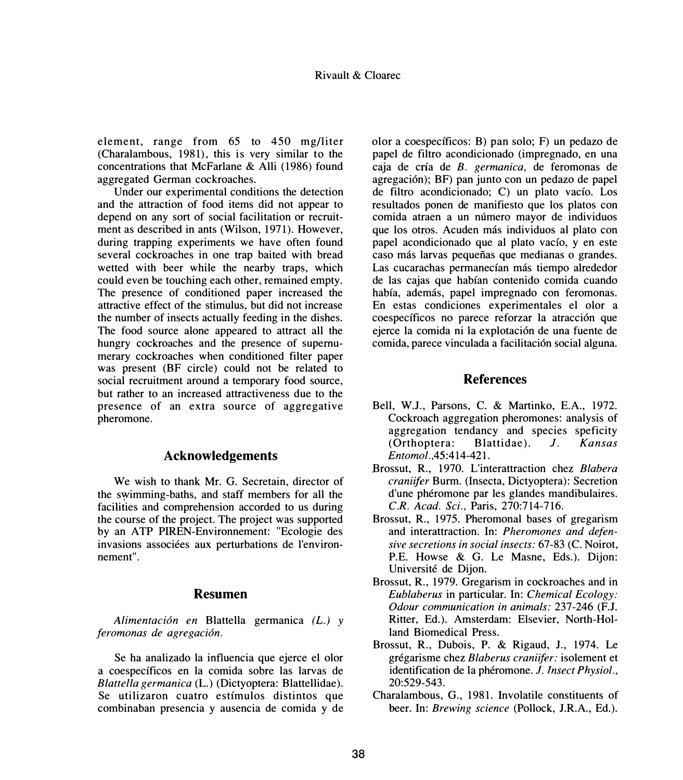element, range from 65 to 450 mg/liter (Charalambous, 1981), this is very similar to the concentrations that Mcfarlane & Alli (1986) found aggregated German cockroaches.

Under our experimental conditions the detection and the attraction of food items did not appear to depend on any sort of social facilitation or recruitment as described in ants (Wilson, 1971). However, during trapping experiments we have often found several cockroaches in one trap baited with bread wetted with beer while the nearby traps, which could even be touching each other, remained empty. The presence of conditioned paper increased the attractive effect of the stimulus, but did not increase the number of insects actually feeding in the dishes. The food source alone appeared to attract all the hungry cockroaches and the presence of supernumerary cockroaches when conditioned filter paper was present (BF circle) could not be related to social recruitment around a temporary food source, but rather to an increased attractiveness due to the presence of an extra source of aggregative pheromone.

#### **Acknowledgements**

We wish to thank Mr. G. Secretain, director of the s�imming-baths, and staff members for all the facilities and comprehension accorded to us during the course of the project. The project was supported by an ATP PIREN-Environnement: "Ecologie des invasions associées aux perturbations de l'environnement".

#### **Resumen**

*Alimentaci6n en* Blattella germanica *(L.) y feromonas de agregaci6n.* 

Se ha analizado la influencia que ejerce el olor a coespecfficos en la comida sobre las larvas de *Blattel/a germanica* (L.) (Dictyoptera: Blattellidae). Se utilizaron cuatro estfmulos distintos que combinaban presencia y ausencia de comida y de olor a coespecfficos: B) pan solo; F) un pedazo de papel de filtro acondicionado (impregnado, en una caja de cria de *B. germanica,* de feromonas de agregaci6n); BF) pan junto con un pedazo de papel de filtro acondicionado; C) un plato vacfo. Los resultados ponen de manifiesto que los platos con comida atraen a un mimero mayor de individuos que los otros. Acuden más individuos al plato con papel acondicionado que al plato vacio, y en este caso más larvas pequeñas que medianas o grandes. Las cucarachas permanecían más tiempo alrededor de las cajas que habfan contenido comida cuando había, además, papel impregnado con feromonas. En estas condiciones experimentales el olor a coespecíficos no parece reforzar la atracción que ejerce la comida ni la explotaci6n de una fuente de comida, parece vinculada a facilitación social alguna.

#### **References**

- Bell, W.J., Parsons, C. & Martinko, E.A., 1972. Cockroach aggregation pheromones: analysis of aggregation tendancy and species speficity (Orthoptera: Blattidae). *J. Kansas Entomol.,45:414-421.*
- Brossut, R., 1970. L'interattraction chez *Blabera craniifer* Burm. (Insecta, Dictyoptera): Secretion d'une pheromone par les glandes mandibulaires. *C.R. Acad. Sci.,* Paris, 270:714-716.
- Brossut, R., 1975. Pheromonal bases of gregarism and interattraction. In: *Pheromones and defensive secretions in social insects:* 67-83 (C. Noirot, P.E. Howse & G. Le Masne, Eds.). Dijon: Universite de Dijon.
- Brossut, R., 1979. Gregarism in cockroaches and in *Eublaberus* in particular. In: *Chemical Ecology: Odour communication in animals:* 237-246 (F.J. Ritter, Ed.). Amsterdam: Elsevier, North-Holland Biomedical Press.
- Brossut, R., Dubois, P. & Rigaud, J., 1974. Le gregarisme chez *Blaberus craniifer:* isolement et identification de la phéromone. *J. Insect Physiol.*, 20:529-543.
- Charalambous, G., 1981. lnvolatile constituents of beer. In: *Brewing science* (Pollock, J.R.A., Ed.).